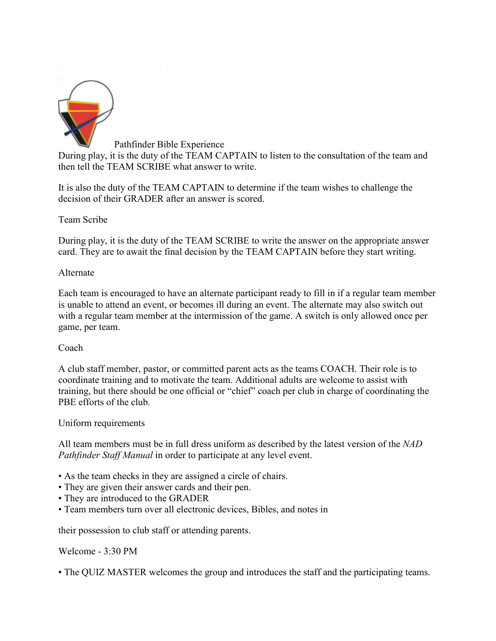

Pathfinder Bible Experience During play, it is the duty of the TEAM CAPTAIN to listen to the consultation of the team and then tell the TEAM SCRIBE what answer to write.

It is also the duty of the TEAM CAPTAIN to determine if the team wishes to challenge the decision of their GRADER after an answer is scored.

Team Scribe

During play, it is the duty of the TEAM SCRIBE to write the answer on the appropriate answer card. They are to await the final decision by the TEAM CAPTAIN before they start writing.

## Alternate

Each team is encouraged to have an alternate participant ready to fill in if a regular team member is unable to attend an event, or becomes ill during an event. The alternate may also switch out with a regular team member at the intermission of the game. A switch is only allowed once per game, per team.

### Coach

A club staff member, pastor, or committed parent acts as the teams COACH. Their role is to coordinate training and to motivate the team. Additional adults are welcome to assist with training, but there should be one official or "chief" coach per club in charge of coordinating the PBE efforts of the club.

### Uniform requirements

All team members must be in full dress uniform as described by the latest version of the *NAD Pathfinder Staff Manual* in order to participate at any level event.

- As the team checks in they are assigned a circle of chairs.
- They are given their answer cards and their pen.
- They are introduced to the GRADER
- Team members turn over all electronic devices, Bibles, and notes in

their possession to club staff or attending parents.

Welcome - 3:30 PM

• The QUIZ MASTER welcomes the group and introduces the staff and the participating teams.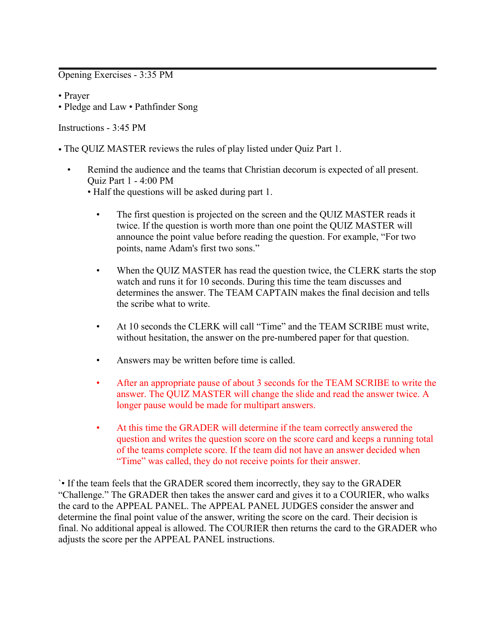#### Opening Exercises - 3:35 PM

- Prayer
- Pledge and Law Pathfinder Song

#### Instructions - 3:45 PM

- The QUIZ MASTER reviews the rules of play listed under Quiz Part 1.
	- Remind the audience and the teams that Christian decorum is expected of all present. Quiz Part 1 - 4:00 PM
		- Half the questions will be asked during part 1.
			- The first question is projected on the screen and the QUIZ MASTER reads it twice. If the question is worth more than one point the QUIZ MASTER will announce the point value before reading the question. For example, "For two points, name Adam's first two sons."
			- When the QUIZ MASTER has read the question twice, the CLERK starts the stop watch and runs it for 10 seconds. During this time the team discusses and determines the answer. The TEAM CAPTAIN makes the final decision and tells the scribe what to write.
			- At 10 seconds the CLERK will call "Time" and the TEAM SCRIBE must write, without hesitation, the answer on the pre-numbered paper for that question.
			- Answers may be written before time is called.
			- After an appropriate pause of about 3 seconds for the TEAM SCRIBE to write the answer. The QUIZ MASTER will change the slide and read the answer twice. A longer pause would be made for multipart answers.
			- At this time the GRADER will determine if the team correctly answered the question and writes the question score on the score card and keeps a running total of the teams complete score. If the team did not have an answer decided when "Time" was called, they do not receive points for their answer.

`• If the team feels that the GRADER scored them incorrectly, they say to the GRADER "Challenge." The GRADER then takes the answer card and gives it to a COURIER, who walks the card to the APPEAL PANEL. The APPEAL PANEL JUDGES consider the answer and determine the final point value of the answer, writing the score on the card. Their decision is final. No additional appeal is allowed. The COURIER then returns the card to the GRADER who adjusts the score per the APPEAL PANEL instructions.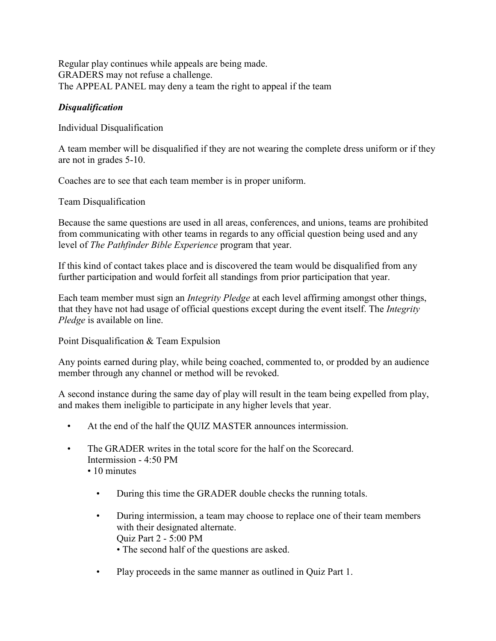Regular play continues while appeals are being made. GRADERS may not refuse a challenge. The APPEAL PANEL may deny a team the right to appeal if the team

### *Disqualification*

Individual Disqualification

A team member will be disqualified if they are not wearing the complete dress uniform or if they are not in grades 5-10.

Coaches are to see that each team member is in proper uniform.

Team Disqualification

Because the same questions are used in all areas, conferences, and unions, teams are prohibited from communicating with other teams in regards to any official question being used and any level of *The Pathfinder Bible Experience* program that year.

If this kind of contact takes place and is discovered the team would be disqualified from any further participation and would forfeit all standings from prior participation that year.

Each team member must sign an *Integrity Pledge* at each level affirming amongst other things, that they have not had usage of official questions except during the event itself. The *Integrity Pledge* is available on line.

Point Disqualification & Team Expulsion

Any points earned during play, while being coached, commented to, or prodded by an audience member through any channel or method will be revoked.

A second instance during the same day of play will result in the team being expelled from play, and makes them ineligible to participate in any higher levels that year.

- At the end of the half the QUIZ MASTER announces intermission.
- The GRADER writes in the total score for the half on the Scorecard Intermission - 4:50 PM
	- 10 minutes
		- During this time the GRADER double checks the running totals.
		- During intermission, a team may choose to replace one of their team members with their designated alternate. Quiz Part 2 - 5:00 PM
			- The second half of the questions are asked.
		- Play proceeds in the same manner as outlined in Ouiz Part 1.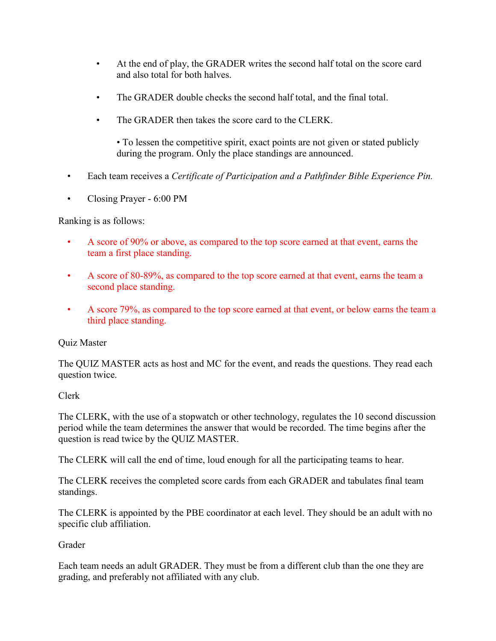- At the end of play, the GRADER writes the second half total on the score card and also total for both halves.
- The GRADER double checks the second half total, and the final total.
- The GRADER then takes the score card to the CLERK.

• To lessen the competitive spirit, exact points are not given or stated publicly during the program. Only the place standings are announced.

- Each team receives a *Certificate of Participation and a Pathfinder Bible Experience Pin.*
- Closing Prayer 6:00 PM

### Ranking is as follows:

- A score of 90% or above, as compared to the top score earned at that event, earns the team a first place standing.
- A score of 80-89%, as compared to the top score earned at that event, earns the team a second place standing.
- A score 79%, as compared to the top score earned at that event, or below earns the team a third place standing.

### Quiz Master

The QUIZ MASTER acts as host and MC for the event, and reads the questions. They read each question twice.

# Clerk

The CLERK, with the use of a stopwatch or other technology, regulates the 10 second discussion period while the team determines the answer that would be recorded. The time begins after the question is read twice by the QUIZ MASTER.

The CLERK will call the end of time, loud enough for all the participating teams to hear.

The CLERK receives the completed score cards from each GRADER and tabulates final team standings.

The CLERK is appointed by the PBE coordinator at each level. They should be an adult with no specific club affiliation.

# Grader

Each team needs an adult GRADER. They must be from a different club than the one they are grading, and preferably not affiliated with any club.